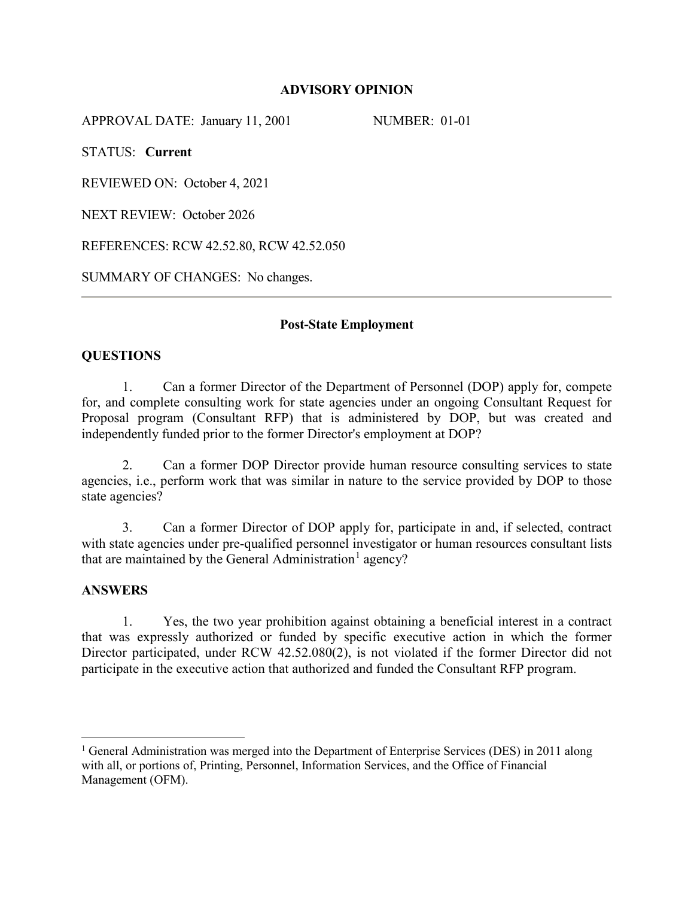### **ADVISORY OPINION**

APPROVAL DATE: January 11, 2001 NUMBER: 01-01

STATUS: **Current**

REVIEWED ON: October 4, 2021

NEXT REVIEW: October 2026

REFERENCES: RCW 42.52.80, RCW 42.52.050

SUMMARY OF CHANGES: No changes.

### **Post-State Employment**

### **QUESTIONS**

1. Can a former Director of the Department of Personnel (DOP) apply for, compete for, and complete consulting work for state agencies under an ongoing Consultant Request for Proposal program (Consultant RFP) that is administered by DOP, but was created and independently funded prior to the former Director's employment at DOP?

2. Can a former DOP Director provide human resource consulting services to state agencies, i.e., perform work that was similar in nature to the service provided by DOP to those state agencies?

3. Can a former Director of DOP apply for, participate in and, if selected, contract with state agencies under pre-qualified personnel investigator or human resources consultant lists that are maintained by the General Administration<sup>[1](#page-0-0)</sup> agency?

### **ANSWERS**

1. Yes, the two year prohibition against obtaining a beneficial interest in a contract that was expressly authorized or funded by specific executive action in which the former Director participated, under RCW 42.52.080(2), is not violated if the former Director did not participate in the executive action that authorized and funded the Consultant RFP program.

<span id="page-0-0"></span><sup>&</sup>lt;sup>1</sup> General Administration was merged into the Department of Enterprise Services (DES) in 2011 along with all, or portions of, Printing, Personnel, Information Services, and the Office of Financial Management (OFM).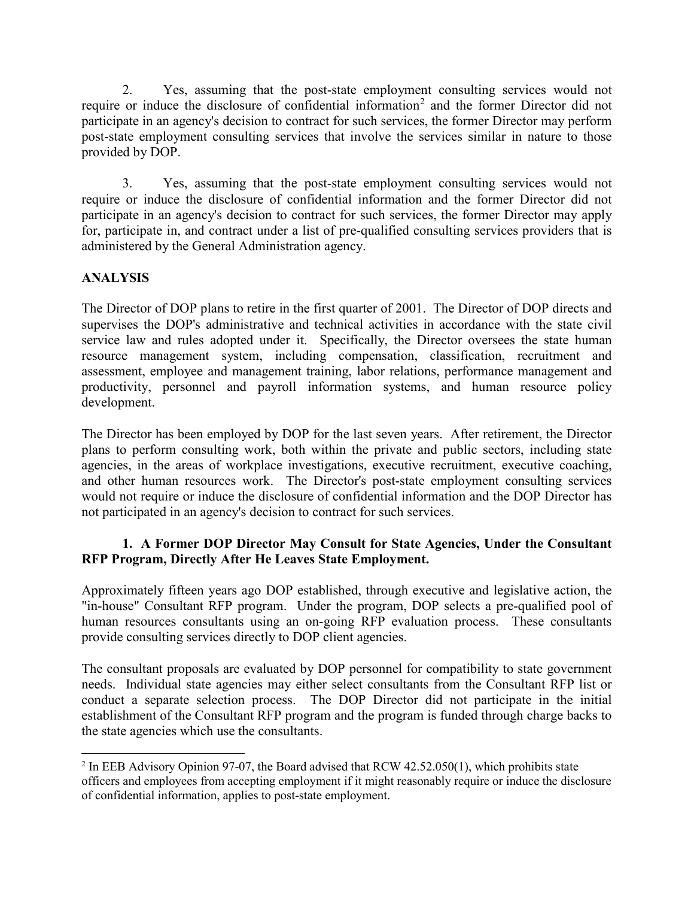2. Yes, assuming that the post-state employment consulting services would not require or induce the disclosure of confidential information<sup>[2](#page-1-0)</sup> and the former Director did not participate in an agency's decision to contract for such services, the former Director may perform post-state employment consulting services that involve the services similar in nature to those provided by DOP.

3. Yes, assuming that the post-state employment consulting services would not require or induce the disclosure of confidential information and the former Director did not participate in an agency's decision to contract for such services, the former Director may apply for, participate in, and contract under a list of pre-qualified consulting services providers that is administered by the General Administration agency.

# **ANALYSIS**

The Director of DOP plans to retire in the first quarter of 2001. The Director of DOP directs and supervises the DOP's administrative and technical activities in accordance with the state civil service law and rules adopted under it. Specifically, the Director oversees the state human resource management system, including compensation, classification, recruitment and assessment, employee and management training, labor relations, performance management and productivity, personnel and payroll information systems, and human resource policy development.

The Director has been employed by DOP for the last seven years. After retirement, the Director plans to perform consulting work, both within the private and public sectors, including state agencies, in the areas of workplace investigations, executive recruitment, executive coaching, and other human resources work. The Director's post-state employment consulting services would not require or induce the disclosure of confidential information and the DOP Director has not participated in an agency's decision to contract for such services.

## **1. A Former DOP Director May Consult for State Agencies, Under the Consultant RFP Program, Directly After He Leaves State Employment.**

Approximately fifteen years ago DOP established, through executive and legislative action, the "in-house" Consultant RFP program. Under the program, DOP selects a pre-qualified pool of human resources consultants using an on-going RFP evaluation process. These consultants provide consulting services directly to DOP client agencies.

The consultant proposals are evaluated by DOP personnel for compatibility to state government needs. Individual state agencies may either select consultants from the Consultant RFP list or conduct a separate selection process. The DOP Director did not participate in the initial establishment of the Consultant RFP program and the program is funded through charge backs to the state agencies which use the consultants.

<span id="page-1-0"></span><sup>&</sup>lt;sup>2</sup> In EEB Advisory Opinion 97-07, the Board advised that RCW 42.52.050(1), which prohibits state officers and employees from accepting employment if it might reasonably require or induce the disclosure of confidential information, applies to post-state employment.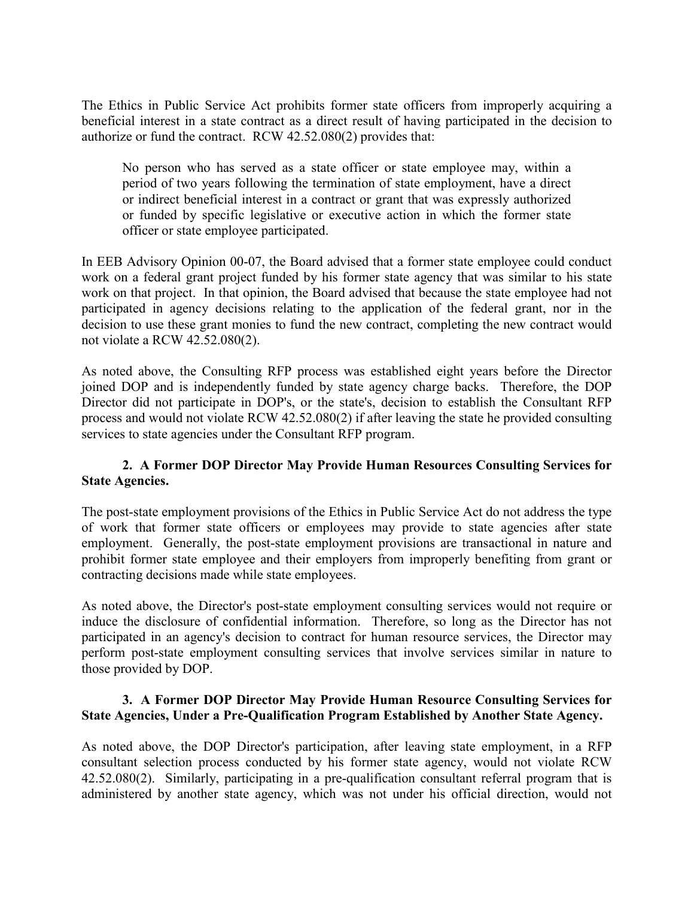The Ethics in Public Service Act prohibits former state officers from improperly acquiring a beneficial interest in a state contract as a direct result of having participated in the decision to authorize or fund the contract. RCW 42.52.080(2) provides that:

No person who has served as a state officer or state employee may, within a period of two years following the termination of state employment, have a direct or indirect beneficial interest in a contract or grant that was expressly authorized or funded by specific legislative or executive action in which the former state officer or state employee participated.

In EEB Advisory Opinion 00-07, the Board advised that a former state employee could conduct work on a federal grant project funded by his former state agency that was similar to his state work on that project. In that opinion, the Board advised that because the state employee had not participated in agency decisions relating to the application of the federal grant, nor in the decision to use these grant monies to fund the new contract, completing the new contract would not violate a RCW 42.52.080(2).

As noted above, the Consulting RFP process was established eight years before the Director joined DOP and is independently funded by state agency charge backs. Therefore, the DOP Director did not participate in DOP's, or the state's, decision to establish the Consultant RFP process and would not violate RCW 42.52.080(2) if after leaving the state he provided consulting services to state agencies under the Consultant RFP program.

## **2. A Former DOP Director May Provide Human Resources Consulting Services for State Agencies.**

The post-state employment provisions of the Ethics in Public Service Act do not address the type of work that former state officers or employees may provide to state agencies after state employment. Generally, the post-state employment provisions are transactional in nature and prohibit former state employee and their employers from improperly benefiting from grant or contracting decisions made while state employees.

As noted above, the Director's post-state employment consulting services would not require or induce the disclosure of confidential information. Therefore, so long as the Director has not participated in an agency's decision to contract for human resource services, the Director may perform post-state employment consulting services that involve services similar in nature to those provided by DOP.

## **3. A Former DOP Director May Provide Human Resource Consulting Services for State Agencies, Under a Pre-Qualification Program Established by Another State Agency.**

As noted above, the DOP Director's participation, after leaving state employment, in a RFP consultant selection process conducted by his former state agency, would not violate RCW 42.52.080(2). Similarly, participating in a pre-qualification consultant referral program that is administered by another state agency, which was not under his official direction, would not